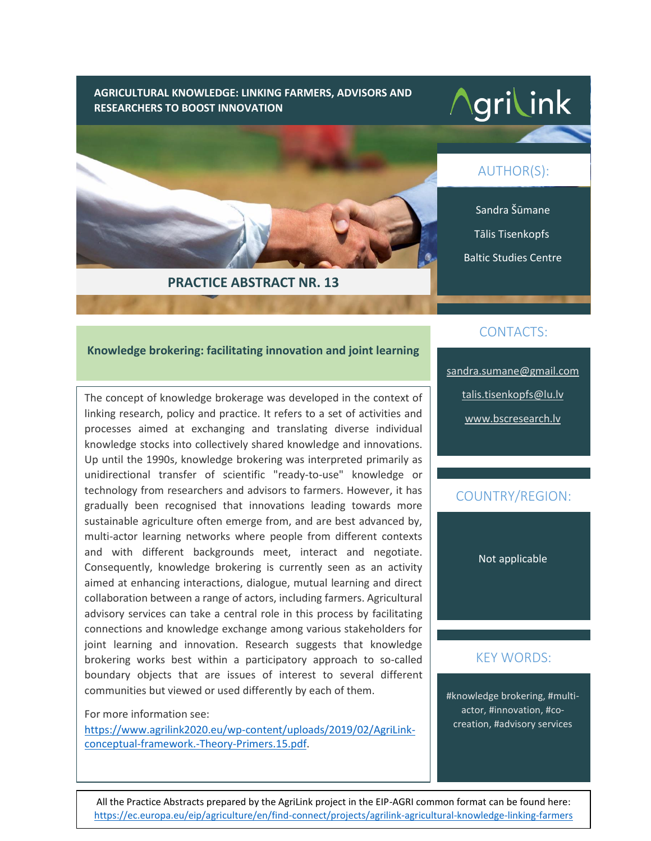**AGRICULTURAL KNOWLEDGE: LINKING FARMERS, ADVISORS AND RESEARCHERS TO BOOST INNOVATION**

# **Agrilink**



#### **PRACTICE ABSTRACT NR. 13**

## AUTHOR(S):

Sandra Šūmane Tālis Tisenkopfs Baltic Studies Centre

#### **Knowledge brokering: facilitating innovation and joint learning**

The concept of knowledge brokerage was developed in the context of linking research, policy and practice. It refers to a set of activities and processes aimed at exchanging and translating diverse individual knowledge stocks into collectively shared knowledge and innovations. Up until the 1990s, knowledge brokering was interpreted primarily as unidirectional transfer of scientific "ready-to-use" knowledge or technology from researchers and advisors to farmers. However, it has gradually been recognised that innovations leading towards more sustainable agriculture often emerge from, and are best advanced by, multi-actor learning networks where people from different contexts and with different backgrounds meet, interact and negotiate. Consequently, knowledge brokering is currently seen as an activity aimed at enhancing interactions, dialogue, mutual learning and direct collaboration between a range of actors, including farmers. Agricultural advisory services can take a central role in this process by facilitating connections and knowledge exchange among various stakeholders for joint learning and innovation. Research suggests that knowledge brokering works best within a participatory approach to so-called boundary objects that are issues of interest to several different communities but viewed or used differently by each of them.

#### For more information see:

[https://www.agrilink2020.eu/wp-content/uploads/2019/02/AgriLink](https://www.agrilink2020.eu/wp-content/uploads/2019/02/AgriLink-conceptual-framework.-Theory-Primers.15.pdf)[conceptual-framework.-Theory-Primers.15.pdf.](https://www.agrilink2020.eu/wp-content/uploads/2019/02/AgriLink-conceptual-framework.-Theory-Primers.15.pdf)

## CONTACTS:

[sandra.sumane@gmail.com](mailto:sandra.sumane@gmail.com) [talis.tisenkopfs@lu.lv](mailto:talis.tisenkopfs@lu.lv) [www.bscresearch.lv](http://www.bscresearch.lv/)

### COUNTRY/REGION:

Not applicable

#### KEY WORDS:

#knowledge brokering, #multiactor, #innovation, #cocreation, #advisory services

All the Practice Abstracts prepared by the AgriLink project in the EIP-AGRI common format can be found here: <https://ec.europa.eu/eip/agriculture/en/find-connect/projects/agrilink-agricultural-knowledge-linking-farmers>